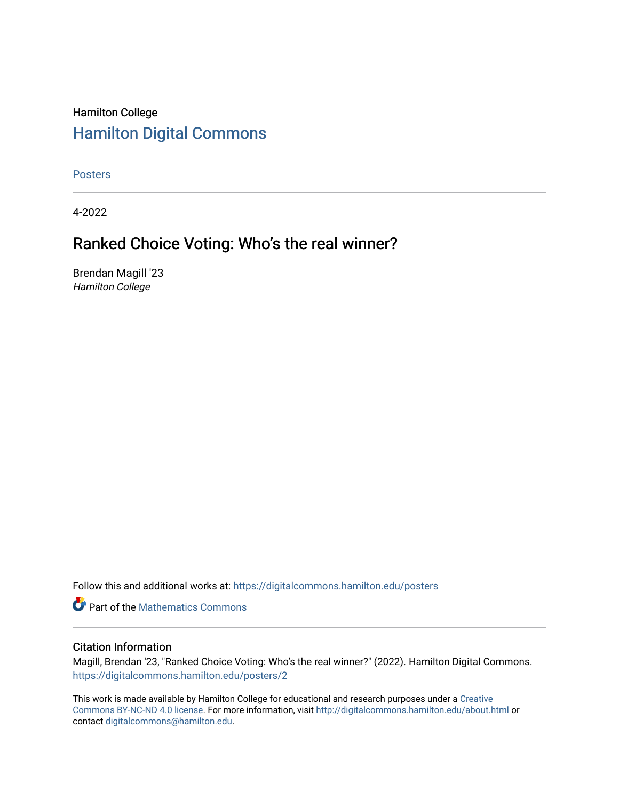#### Hamilton College [Hamilton Digital Commons](https://digitalcommons.hamilton.edu/)

[Posters](https://digitalcommons.hamilton.edu/posters) 

4-2022

#### Ranked Choice Voting: Who's the real winner?

Brendan Magill '23 Hamilton College

Follow this and additional works at: [https://digitalcommons.hamilton.edu/posters](https://digitalcommons.hamilton.edu/posters?utm_source=digitalcommons.hamilton.edu%2Fposters%2F2&utm_medium=PDF&utm_campaign=PDFCoverPages) 

**P** Part of the [Mathematics Commons](https://network.bepress.com/hgg/discipline/174?utm_source=digitalcommons.hamilton.edu%2Fposters%2F2&utm_medium=PDF&utm_campaign=PDFCoverPages)

#### Citation Information

Magill, Brendan '23, "Ranked Choice Voting: Who's the real winner?" (2022). Hamilton Digital Commons. [https://digitalcommons.hamilton.edu/posters/2](https://digitalcommons.hamilton.edu/posters/2?utm_source=digitalcommons.hamilton.edu%2Fposters%2F2&utm_medium=PDF&utm_campaign=PDFCoverPages) 

This work is made available by Hamilton College for educational and research purposes under a [Creative](https://creativecommons.org/licenses/by-nc-nd/4.0/)  [Commons BY-NC-ND 4.0 license.](https://creativecommons.org/licenses/by-nc-nd/4.0/) For more information, visit <http://digitalcommons.hamilton.edu/about.html> or contact [digitalcommons@hamilton.edu.](mailto:digitalcommons@hamilton.edu)